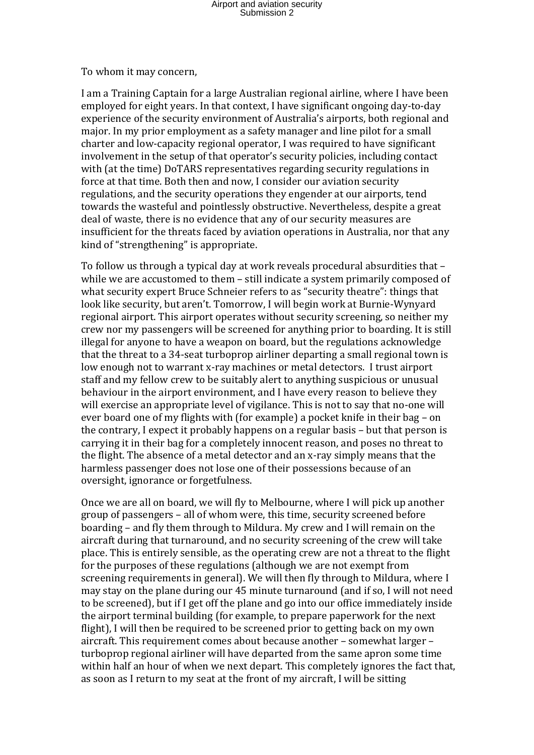## Airport and aviation security Submission 2

To whom it may concern,

I am a Training Captain for a large Australian regional airline, where I have been employed for eight years. In that context. I have significant ongoing day-to-day experience of the security environment of Australia's airports, both regional and major. In my prior employment as a safety manager and line pilot for a small charter and low-capacity regional operator, I was required to have significant involvement in the setup of that operator's security policies, including contact with (at the time) DoTARS representatives regarding security regulations in force at that time. Both then and now, I consider our aviation security regulations, and the security operations they engender at our airports, tend towards the wasteful and pointlessly obstructive. Nevertheless, despite a great deal of waste, there is no evidence that any of our security measures are insufficient for the threats faced by aviation operations in Australia, nor that any kind of "strengthening" is appropriate.

To follow us through a typical day at work reveals procedural absurdities that – while we are accustomed to them – still indicate a system primarily composed of what security expert Bruce Schneier refers to as "security theatre": things that look like security, but aren't. Tomorrow, I will begin work at Burnie-Wynyard regional airport. This airport operates without security screening, so neither my crew nor my passengers will be screened for anything prior to boarding. It is still illegal for anyone to have a weapon on board, but the regulations acknowledge that the threat to a 34-seat turboprop airliner departing a small regional town is low enough not to warrant x-ray machines or metal detectors. I trust airport staff and my fellow crew to be suitably alert to anything suspicious or unusual behaviour in the airport environment, and I have every reason to believe they will exercise an appropriate level of vigilance. This is not to say that no-one will ever board one of my flights with (for example) a pocket knife in their bag – on the contrary, I expect it probably happens on a regular basis – but that person is carrying it in their bag for a completely innocent reason, and poses no threat to the flight. The absence of a metal detector and an x-ray simply means that the harmless passenger does not lose one of their possessions because of an oversight, ignorance or forgetfulness.

Once we are all on board, we will fly to Melbourne, where I will pick up another group of passengers – all of whom were, this time, security screened before boarding – and fly them through to Mildura. My crew and I will remain on the aircraft during that turnaround, and no security screening of the crew will take place. This is entirely sensible, as the operating crew are not a threat to the flight for the purposes of these regulations (although we are not exempt from screening requirements in general). We will then fly through to Mildura, where I may stay on the plane during our 45 minute turnaround (and if so, I will not need to be screened), but if I get off the plane and go into our office immediately inside the airport terminal building (for example, to prepare paperwork for the next flight). I will then be required to be screened prior to getting back on my own aircraft. This requirement comes about because another – somewhat larger – turboprop regional airliner will have departed from the same apron some time within half an hour of when we next depart. This completely ignores the fact that, as soon as I return to my seat at the front of my aircraft, I will be sitting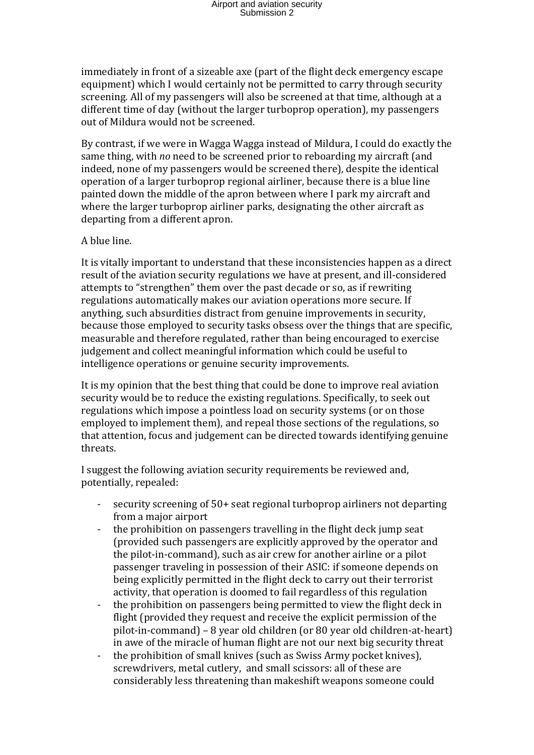immediately in front of a sizeable axe (part of the flight deck emergency escape equipment) which I would certainly not be permitted to carry through security screening. All of my passengers will also be screened at that time, although at a different time of day (without the larger turboprop operation), my passengers out of Mildura would not be screened.

By contrast, if we were in Wagga Wagga instead of Mildura, I could do exactly the same thing, with *no* need to be screened prior to reboarding my aircraft (and indeed, none of my passengers would be screened there), despite the identical operation of a larger turboprop regional airliner, because there is a blue line painted down the middle of the apron between where I park my aircraft and where the larger turboprop airliner parks, designating the other aircraft as departing from a different apron.

## A blue line.

It is vitally important to understand that these inconsistencies happen as a direct result of the aviation security regulations we have at present, and ill-considered attempts to "strengthen" them over the past decade or so, as if rewriting regulations automatically makes our aviation operations more secure. If anything, such absurdities distract from genuine improvements in security, because those employed to security tasks obsess over the things that are specific, measurable and therefore regulated, rather than being encouraged to exercise judgement and collect meaningful information which could be useful to intelligence operations or genuine security improvements.

It is my opinion that the best thing that could be done to improve real aviation security would be to reduce the existing regulations. Specifically, to seek out regulations which impose a pointless load on security systems (or on those employed to implement them), and repeal those sections of the regulations, so that attention, focus and judgement can be directed towards identifying genuine threats.

I suggest the following aviation security requirements be reviewed and, potentially, repealed:

- security screening of 50+ seat regional turboprop airliners not departing from a major airport
- the prohibition on passengers travelling in the flight deck jump seat (provided such passengers are explicitly approved by the operator and the pilot-in-command), such as air crew for another airline or a pilot passenger traveling in possession of their ASIC: if someone depends on being explicitly permitted in the flight deck to carry out their terrorist activity, that operation is doomed to fail regardless of this regulation
- the prohibition on passengers being permitted to view the flight deck in flight (provided they request and receive the explicit permission of the pilot-in-command) – 8 year old children (or 80 year old children-at-heart) in awe of the miracle of human flight are not our next big security threat
- the prohibition of small knives (such as Swiss Army pocket knives), screwdrivers, metal cutlery, and small scissors: all of these are considerably less threatening than makeshift weapons someone could